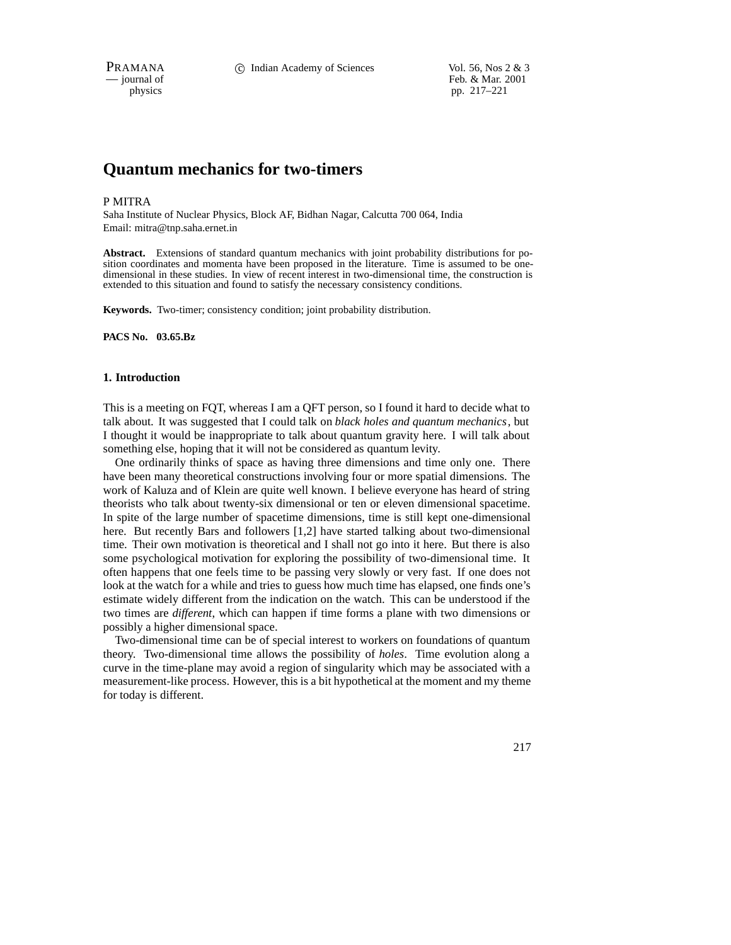PRAMANA 
<sup>c</sup> Indian Academy of Sciences Vol. 56, Nos 2 & 3<br>  $-$  journal of Feb. & Mar. 2001 Feb. & Mar. 2001 physics pp. 217–221

# **Quantum mechanics for two-timers**

#### P MITRA

Saha Institute of Nuclear Physics, Block AF, Bidhan Nagar, Calcutta 700 064, India Email: mitra@tnp.saha.ernet.in

**Abstract.** Extensions of standard quantum mechanics with joint probability distributions for position coordinates and momenta have been proposed in the literature. Time is assumed to be onedimensional in these studies. In view of recent interest in two-dimensional time, the construction is extended to this situation and found to satisfy the necessary consistency conditions.

**Keywords.** Two-timer; consistency condition; joint probability distribution.

**PACS No. 03.65.Bz**

#### **1. Introduction**

This is a meeting on FQT, whereas I am a QFT person, so I found it hard to decide what to talk about. It was suggested that I could talk on *black holes and quantum mechanics*, but I thought it would be inappropriate to talk about quantum gravity here. I will talk about something else, hoping that it will not be considered as quantum levity.

One ordinarily thinks of space as having three dimensions and time only one. There have been many theoretical constructions involving four or more spatial dimensions. The work of Kaluza and of Klein are quite well known. I believe everyone has heard of string theorists who talk about twenty-six dimensional or ten or eleven dimensional spacetime. In spite of the large number of spacetime dimensions, time is still kept one-dimensional here. But recently Bars and followers [1,2] have started talking about two-dimensional time. Their own motivation is theoretical and I shall not go into it here. But there is also some psychological motivation for exploring the possibility of two-dimensional time. It often happens that one feels time to be passing very slowly or very fast. If one does not look at the watch for a while and tries to guess how much time has elapsed, one finds one's estimate widely different from the indication on the watch. This can be understood if the two times are *different*, which can happen if time forms a plane with two dimensions or possibly a higher dimensional space.

Two-dimensional time can be of special interest to workers on foundations of quantum theory. Two-dimensional time allows the possibility of *holes*. Time evolution along a curve in the time-plane may avoid a region of singularity which may be associated with a measurement-like process. However, this is a bit hypothetical at the moment and my theme for today is different.

217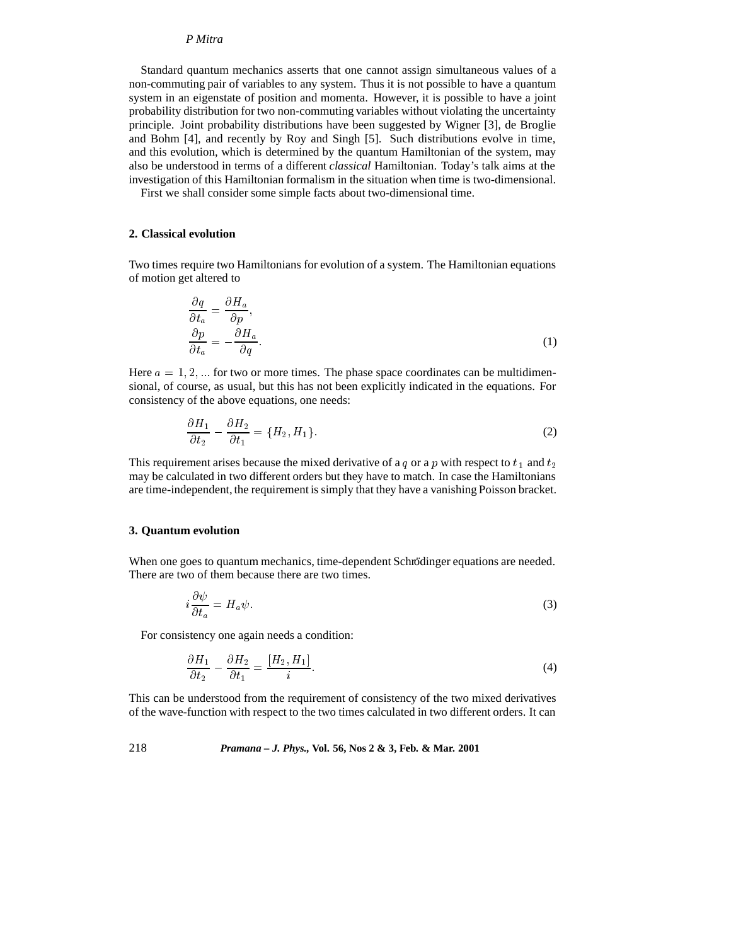# *P Mitra*

Standard quantum mechanics asserts that one cannot assign simultaneous values of a non-commuting pair of variables to any system. Thus it is not possible to have a quantum system in an eigenstate of position and momenta. However, it is possible to have a joint probability distribution for two non-commuting variables without violating the uncertainty principle. Joint probability distributions have been suggested by Wigner [3], de Broglie and Bohm [4], and recently by Roy and Singh [5]. Such distributions evolve in time, and this evolution, which is determined by the quantum Hamiltonian of the system, may also be understood in terms of a different *classical* Hamiltonian. Today's talk aims at the investigation of this Hamiltonian formalism in the situation when time is two-dimensional.

First we shall consider some simple facts about two-dimensional time.

## **2. Classical evolution**

Two times require two Hamiltonians for evolution of a system. The Hamiltonian equations of motion get altered to

$$
\frac{\partial q}{\partial t_a} = \frac{\partial H_a}{\partial p}, \n\frac{\partial p}{\partial t_a} = -\frac{\partial H_a}{\partial q}.
$$
\n(1)

Here  $a = 1, 2, \dots$  for two or more times. The phase space coordinates can be multidimensional, of course, as usual, but this has not been explicitly indicated in the equations. For consistency of the above equations, one needs:

$$
\frac{\partial H_1}{\partial t_2} - \frac{\partial H_2}{\partial t_1} = \{H_2, H_1\}.
$$
 (2)

This requirement arises because the mixed derivative of a q or a p with respect to  $t_1$  and  $t_2$ may be calculated in two different orders but they have to match. In case the Hamiltonians are time-independent, the requirement is simply that they have a vanishing Poisson bracket.

# **3. Quantum evolution**

When one goes to quantum mechanics, time-dependent Schrödinger equations are needed. There are two of them because there are two times.

$$
i\frac{\partial\psi}{\partial t_a} = H_a\psi.
$$
\n(3)

For consistency one again needs a condition:

$$
\frac{\partial H_1}{\partial t_2} - \frac{\partial H_2}{\partial t_1} = \frac{[H_2, H_1]}{i}.\tag{4}
$$

This can be understood from the requirement of consistency of the two mixed derivatives of the wave-function with respect to the two times calculated in two different orders. It can

## 218 *Pramana – J. Phys.,* **Vol. 56, Nos 2 & 3, Feb. & Mar. 2001**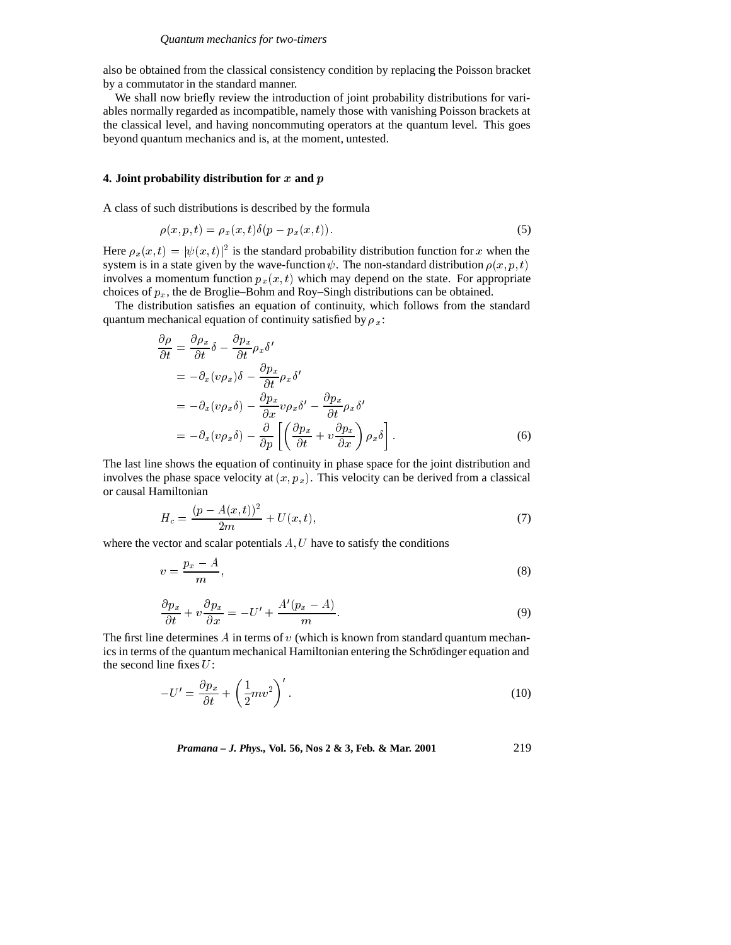also be obtained from the classical consistency condition by replacing the Poisson bracket by a commutator in the standard manner.

We shall now briefly review the introduction of joint probability distributions for variables normally regarded as incompatible, namely those with vanishing Poisson brackets at the classical level, and having noncommuting operators at the quantum level. This goes beyond quantum mechanics and is, at the moment, untested.

#### **4. Joint probability distribution for** <sup>x</sup> **and** <sup>p</sup>

A class of such distributions is described by the formula

$$
\rho(x, p, t) = \rho_x(x, t)\delta(p - p_x(x, t)).\tag{5}
$$

Here  $\rho_x(x, t) = |\psi(x, t)|^2$  is the standard probability distribution function for x when the system is in a state given by the wave-function  $\psi$ . The non-standard distribution  $\rho(x, p, t)$ involves a momentum function  $p_x(x, t)$  which may depend on the state. For appropriate choices of  $p_x$ , the de Broglie–Bohm and Roy–Singh distributions can be obtained.

The distribution satisfies an equation of continuity, which follows from the standard quantum mechanical equation of continuity satisfied by  $\rho_x$ :

$$
\frac{\partial \rho}{\partial t} = \frac{\partial \rho_x}{\partial t} \delta - \frac{\partial p_x}{\partial t} \rho_x \delta'
$$
  
\n
$$
= -\partial_x (v \rho_x) \delta - \frac{\partial p_x}{\partial t} \rho_x \delta'
$$
  
\n
$$
= -\partial_x (v \rho_x \delta) - \frac{\partial p_x}{\partial x} v \rho_x \delta' - \frac{\partial p_x}{\partial t} \rho_x \delta'
$$
  
\n
$$
= -\partial_x (v \rho_x \delta) - \frac{\partial}{\partial p} \left[ \left( \frac{\partial p_x}{\partial t} + v \frac{\partial p_x}{\partial x} \right) \rho_x \delta \right].
$$
 (6)

The last line shows the equation of continuity in phase space for the joint distribution and involves the phase space velocity at  $(x, p_x)$ . This velocity can be derived from a classical or causal Hamiltonian

$$
H_c = \frac{(p - A(x, t))^2}{2m} + U(x, t),\tag{7}
$$

where the vector and scalar potentials  $A, U$  have to satisfy the conditions

$$
v = \frac{p_x - A}{m},\tag{8}
$$

$$
\frac{\partial p_x}{\partial t} + v \frac{\partial p_x}{\partial x} = -U' + \frac{A'(p_x - A)}{m}.
$$
\n(9)

The first line determines  $\tilde{A}$  in terms of v (which is known from standard quantum mechanics in terms of the quantum mechanical Hamiltonian entering the Schrödinger equation and the second line fixes  $U$ :

$$
-U' = \frac{\partial p_x}{\partial t} + \left(\frac{1}{2}mv^2\right)'.
$$
 (10)

*Pramana – J. Phys.,* **Vol. 56, Nos 2 & 3, Feb. & Mar. 2001** 219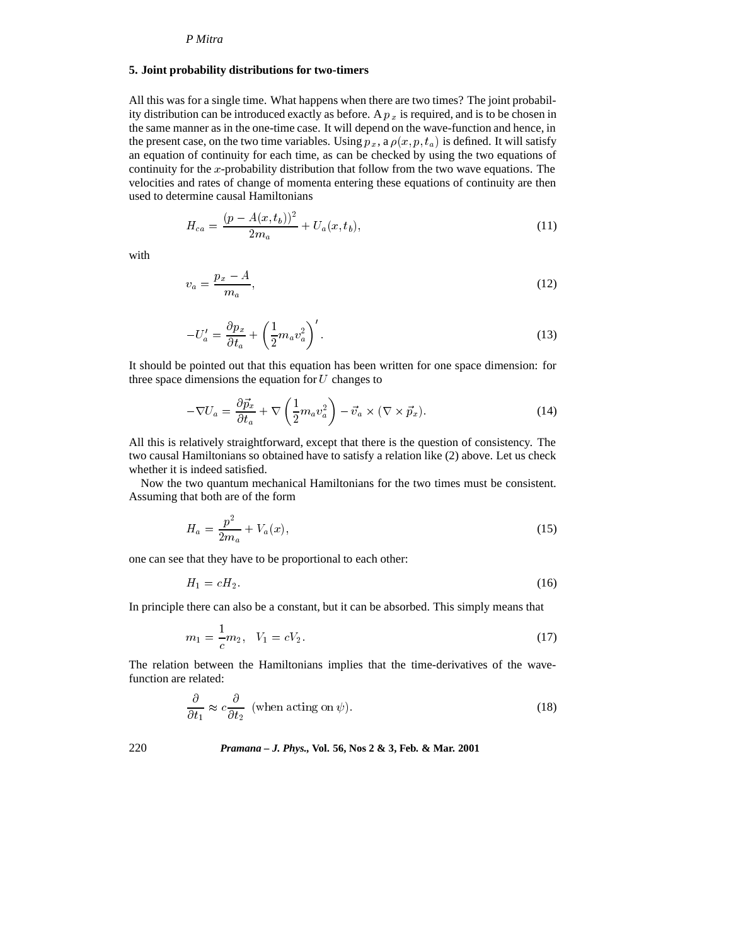# *P Mitra*

#### **5. Joint probability distributions for two-timers**

All this was for a single time. What happens when there are two times? The joint probability distribution can be introduced exactly as before. A  $p_x$  is required, and is to be chosen in the same manner as in the one-time case. It will depend on the wave-function and hence, in the present case, on the two time variables. Using  $p_x$ , a  $\rho(x, p, t_a)$  is defined. It will satisfy an equation of continuity for each time, as can be checked by using the two equations of continuity for the x-probability distribution that follow from the two wave equations. The velocities and rates of change of momenta entering these equations of continuity are then used to determine causal Hamiltonians

$$
H_{ca} = \frac{(p - A(x, t_b))^2}{2m_a} + U_a(x, t_b),
$$
\n(11)

with

$$
v_a = \frac{p_x - A}{m_a},\tag{12}
$$

$$
-U'_a = \frac{\partial p_x}{\partial t_a} + \left(\frac{1}{2}m_a v_a^2\right)'.
$$
 (13)

It should be pointed out that this equation has been written for one space dimension: for three space dimensions the equation for  $U$  changes to

$$
-\nabla U_a = \frac{\partial \vec{p}_x}{\partial t_a} + \nabla \left(\frac{1}{2} m_a v_a^2\right) - \vec{v}_a \times (\nabla \times \vec{p}_x).
$$
 (14)

All this is relatively straightforward, except that there is the question of consistency. The two causal Hamiltonians so obtained have to satisfy a relation like (2) above. Let us check whether it is indeed satisfied.

Now the two quantum mechanical Hamiltonians for the two times must be consistent. Assuming that both are of the form

$$
H_a = \frac{p^2}{2m_a} + V_a(x),
$$
\n(15)

one can see that they have to be proportional to each other:

$$
H_1 = cH_2 \tag{16}
$$

In principle there can also be a constant, but it can be absorbed. This simply means that

$$
m_1 = \frac{1}{c}m_2, \quad V_1 = cV_2. \tag{17}
$$

The relation between the Hamiltonians implies that the time-derivatives of the wavefunction are related:

$$
\frac{\partial}{\partial t_1} \approx c \frac{\partial}{\partial t_2} \text{ (when acting on } \psi\text{).}
$$
 (18)

220 *Pramana – J. Phys.,* **Vol. 56, Nos 2 & 3, Feb. & Mar. 2001**